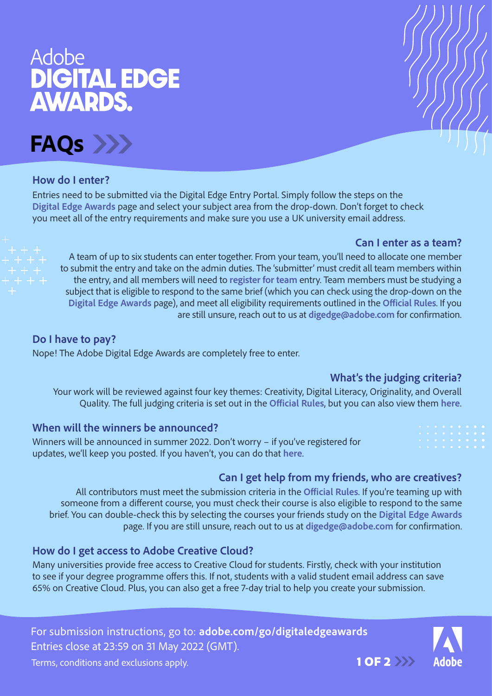# Adobe<br>DIGITAL EDGE **AWARDS.**

**FAQs**

### **How do I enter?**

Entries need to be submitted via the Digital Edge Entry Portal. Simply follow the steps on the **[Digital Edge Awards](https://www.adobe.com/uk/special/landing/student/digitaledgeaward/)** page and select your subject area from the drop-down. Don't forget to check you meet all of the entry requirements and make sure you use a UK university email address.

### **Can I enter as a team?**

A team of up to six students can enter together. From your team, you'll need to allocate one member to submit the entry and take on the admin duties. The 'submitter' must credit all team members within the entry, and all members will need to **[register for team](https://www.adobe.com/uk/special/landing/student/digitaledgeaward/register.html)** entry. Team members must be studying a subject that is eligible to respond to the same brief (which you can check using the drop-down on the **[Digital Edge Awards](https://www.adobe.com/uk/special/landing/student/digitaledgeaward/)** page), and meet all eligibility requirements outlined in the **[Official Rules](https://www.adobe.com/uk/special/landing/student/digitaledgeaward/assets/pdf/DigitalEdgeAward_Terms.pdf)**. If you are still unsure, reach out to us at **[digedge@adobe.com](mailto:digedge%40adobe.com?subject=)** for confirmation.

**Do I have to pay?** Nope! The Adobe [Digital Edge Awards](https://www.adobe.com/uk/special/landing/student/digitaledgeaward/) are completely free to enter.

# **What's the judging criteria?**

Your work will be reviewed against four key themes: Creativity, Digital Literacy, Originality, and Overall Quality. The full judging criteria is set out in the **[Official Rules](https://www.adobe.com/uk/special/landing/student/digitaledgeaward/assets/pdf/DigitalEdgeAward_Terms.pdf)**, but you can also view them **[here](https://www.adobe.com/uk/special/landing/student/digitaledgeaward/assets/pdf/DigitalEdgeAward_JudgingCritera.pdf)**.

### **When will the winners be announced?**

Winners will be announced in summer 2022. Don't worry – if you've registered for updates, we'll keep you posted. If you haven't, you can do that **[here](https://www.adobe.com/subscription/adobe_digital_edge_award_signup.html)**.

# **Can I get help from my friends, who are creatives?**

All contributors must meet the submission criteria in the **[Official Rules](https://www.adobe.com/uk/special/landing/student/digitaledgeaward/assets/pdf/DigitalEdgeAward_Terms.pdf)**. If you're teaming up with someone from a different course, you must check their course is also eligible to respond to the same brief. You can double-check this by selecting the courses your friends study on the **[Digital Edge Awards](https://www.adobe.com/uk/special/landing/student/digitaledgeaward/)**  page. If you are still unsure, reach out to us at **[digedge@adobe.com](mailto:digedge%40adobe.com?subject=)** for confirmation.

### **How do I get access to Adobe Creative Cloud?**

Many universities provide free access to Creative Cloud for students. Firstly, check with your institution to see if your degree programme offers this. If not, students with a valid student email address can save 65% on Creative Cloud. Plus, you can also get a free 7-day trial to help you create your submission.

For submission instructions, go to: **[adobe.com/go/digitaledgeawards](https://www.adobe.com/uk/special/landing/student/digitaledgeaward/)** Entries close at 23:59 on 31 May 2022 (GMT).



Terms, conditions and exclusions apply. The state of the state  $\sim 1$  OF 2  $\rightarrow$  1